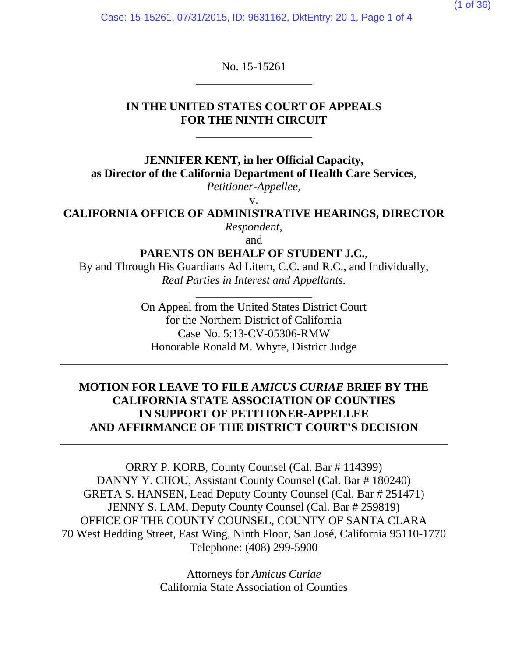Case: 15-15261, 07/31/2015, ID: 9631162, DktEntry: 20-1, Page 1 of 4

No. 15-15261

### **IN THE UNITED STATES COURT OF APPEALS FOR THE NINTH CIRCUIT**

**JENNIFER KENT, in her Official Capacity, as Director of the California Department of Health Care Services**,

*Petitioner-Appellee*,

v.

**CALIFORNIA OFFICE OF ADMINISTRATIVE HEARINGS, DIRECTOR** *Respondent*,

and

**PARENTS ON BEHALF OF STUDENT J.C.**,

By and Through His Guardians Ad Litem, C.C. and R.C., and Individually, *Real Parties in Interest and Appellants.*

> On Appeal from the United States District Court for the Northern District of California Case No. 5:13-CV-05306-RMW Honorable Ronald M. Whyte, District Judge

## **MOTION FOR LEAVE TO FILE** *AMICUS CURIAE* **BRIEF BY THE CALIFORNIA STATE ASSOCIATION OF COUNTIES IN SUPPORT OF PETITIONER-APPELLEE AND AFFIRMANCE OF THE DISTRICT COURT'S DECISION**

ORRY P. KORB, County Counsel (Cal. Bar # 114399) DANNY Y. CHOU, Assistant County Counsel (Cal. Bar # 180240) GRETA S. HANSEN, Lead Deputy County Counsel (Cal. Bar # 251471) JENNY S. LAM, Deputy County Counsel (Cal. Bar # 259819) OFFICE OF THE COUNTY COUNSEL, COUNTY OF SANTA CLARA 70 West Hedding Street, East Wing, Ninth Floor, San José, California 95110-1770 Telephone: (408) 299-5900

> Attorneys for *Amicus Curiae* California State Association of Counties

(1 of 36)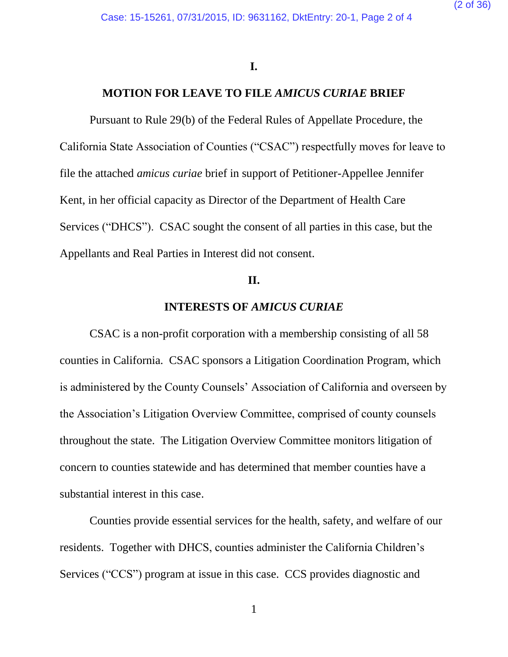#### **I.**

#### **MOTION FOR LEAVE TO FILE** *AMICUS CURIAE* **BRIEF**

Pursuant to Rule 29(b) of the Federal Rules of Appellate Procedure, the California State Association of Counties ("CSAC") respectfully moves for leave to file the attached *amicus curiae* brief in support of Petitioner-Appellee Jennifer Kent, in her official capacity as Director of the Department of Health Care Services ("DHCS"). CSAC sought the consent of all parties in this case, but the Appellants and Real Parties in Interest did not consent.

#### **II.**

### **INTERESTS OF** *AMICUS CURIAE*

CSAC is a non-profit corporation with a membership consisting of all 58 counties in California. CSAC sponsors a Litigation Coordination Program, which is administered by the County Counsels' Association of California and overseen by the Association's Litigation Overview Committee, comprised of county counsels throughout the state. The Litigation Overview Committee monitors litigation of concern to counties statewide and has determined that member counties have a substantial interest in this case.

Counties provide essential services for the health, safety, and welfare of our residents. Together with DHCS, counties administer the California Children's Services ("CCS") program at issue in this case. CCS provides diagnostic and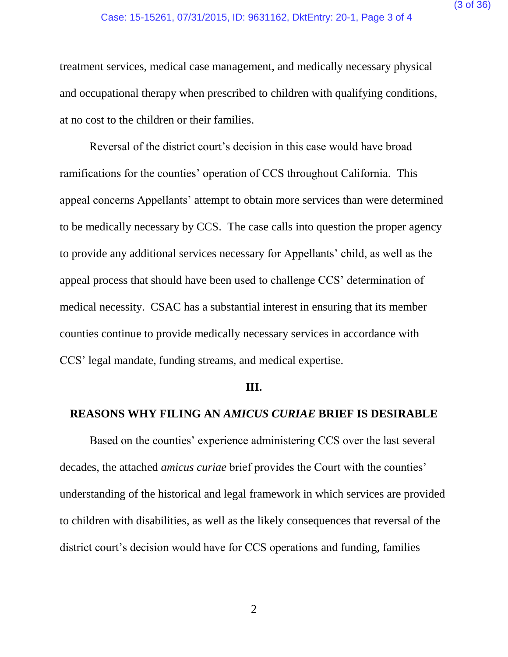treatment services, medical case management, and medically necessary physical and occupational therapy when prescribed to children with qualifying conditions, at no cost to the children or their families.

Reversal of the district court's decision in this case would have broad ramifications for the counties' operation of CCS throughout California. This appeal concerns Appellants' attempt to obtain more services than were determined to be medically necessary by CCS. The case calls into question the proper agency to provide any additional services necessary for Appellants' child, as well as the appeal process that should have been used to challenge CCS' determination of medical necessity. CSAC has a substantial interest in ensuring that its member counties continue to provide medically necessary services in accordance with CCS' legal mandate, funding streams, and medical expertise.

#### **III.**

#### **REASONS WHY FILING AN** *AMICUS CURIAE* **BRIEF IS DESIRABLE**

Based on the counties' experience administering CCS over the last several decades, the attached *amicus curiae* brief provides the Court with the counties' understanding of the historical and legal framework in which services are provided to children with disabilities, as well as the likely consequences that reversal of the district court's decision would have for CCS operations and funding, families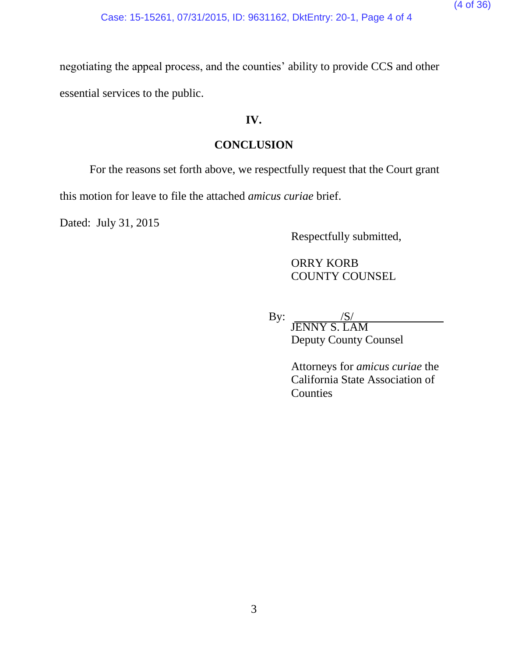negotiating the appeal process, and the counties' ability to provide CCS and other essential services to the public.

# **IV.**

# **CONCLUSION**

For the reasons set forth above, we respectfully request that the Court grant

this motion for leave to file the attached *amicus curiae* brief.

Dated: July 31, 2015

Respectfully submitted,

ORRY KORB COUNTY COUNSEL

By:  $\angle$  /S/ JENNY S. LAM Deputy County Counsel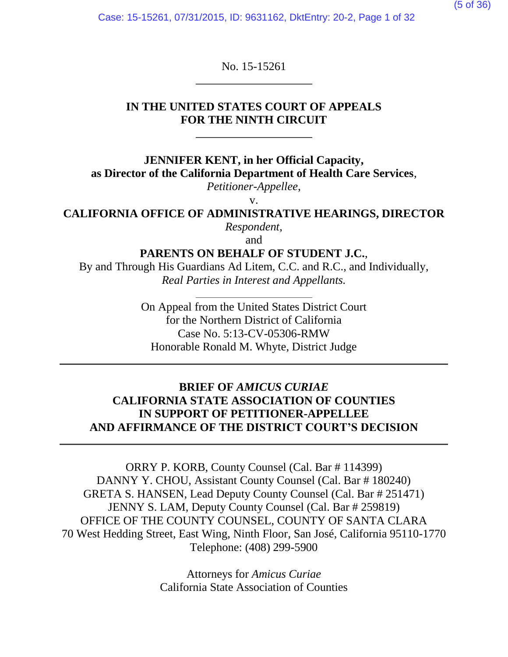Case: 15-15261, 07/31/2015, ID: 9631162, DktEntry: 20-2, Page 1 of 32

No. 15-15261

### **IN THE UNITED STATES COURT OF APPEALS FOR THE NINTH CIRCUIT**

**JENNIFER KENT, in her Official Capacity, as Director of the California Department of Health Care Services**,

*Petitioner-Appellee*,

v.

**CALIFORNIA OFFICE OF ADMINISTRATIVE HEARINGS, DIRECTOR** *Respondent*,

and

**PARENTS ON BEHALF OF STUDENT J.C.**,

By and Through His Guardians Ad Litem, C.C. and R.C., and Individually, *Real Parties in Interest and Appellants.*

> On Appeal from the United States District Court for the Northern District of California Case No. 5:13-CV-05306-RMW Honorable Ronald M. Whyte, District Judge

## **BRIEF OF** *AMICUS CURIAE* **CALIFORNIA STATE ASSOCIATION OF COUNTIES IN SUPPORT OF PETITIONER-APPELLEE AND AFFIRMANCE OF THE DISTRICT COURT'S DECISION**

ORRY P. KORB, County Counsel (Cal. Bar # 114399) DANNY Y. CHOU, Assistant County Counsel (Cal. Bar # 180240) GRETA S. HANSEN, Lead Deputy County Counsel (Cal. Bar # 251471) JENNY S. LAM, Deputy County Counsel (Cal. Bar # 259819) OFFICE OF THE COUNTY COUNSEL, COUNTY OF SANTA CLARA 70 West Hedding Street, East Wing, Ninth Floor, San José, California 95110-1770 Telephone: (408) 299-5900

> Attorneys for *Amicus Curiae* California State Association of Counties

(5 of 36)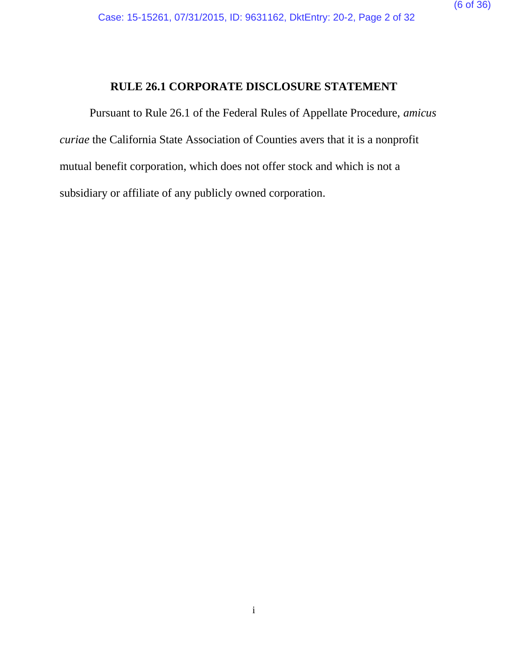### **RULE 26.1 CORPORATE DISCLOSURE STATEMENT**

<span id="page-5-0"></span>Pursuant to Rule 26.1 of the Federal Rules of Appellate Procedure, *amicus curiae* the California State Association of Counties avers that it is a nonprofit mutual benefit corporation, which does not offer stock and which is not a subsidiary or affiliate of any publicly owned corporation.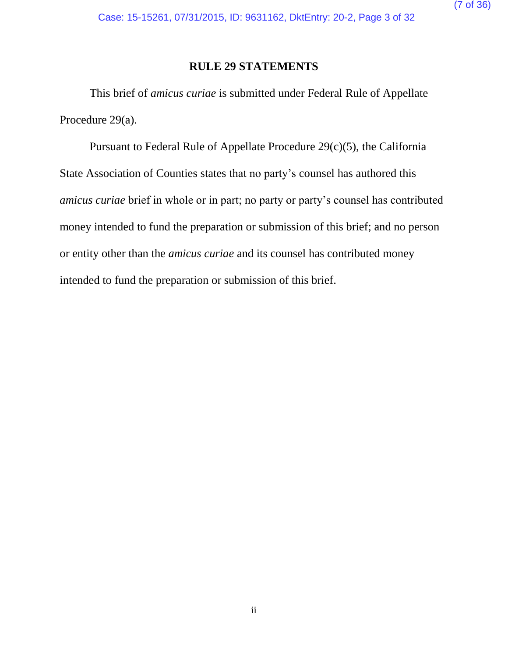### **RULE 29 STATEMENTS**

<span id="page-6-0"></span>This brief of *amicus curiae* is submitted under Federal Rule of Appellate Procedure 29(a).

Pursuant to Federal Rule of Appellate Procedure 29(c)(5), the California State Association of Counties states that no party's counsel has authored this *amicus curiae* brief in whole or in part; no party or party's counsel has contributed money intended to fund the preparation or submission of this brief; and no person or entity other than the *amicus curiae* and its counsel has contributed money intended to fund the preparation or submission of this brief.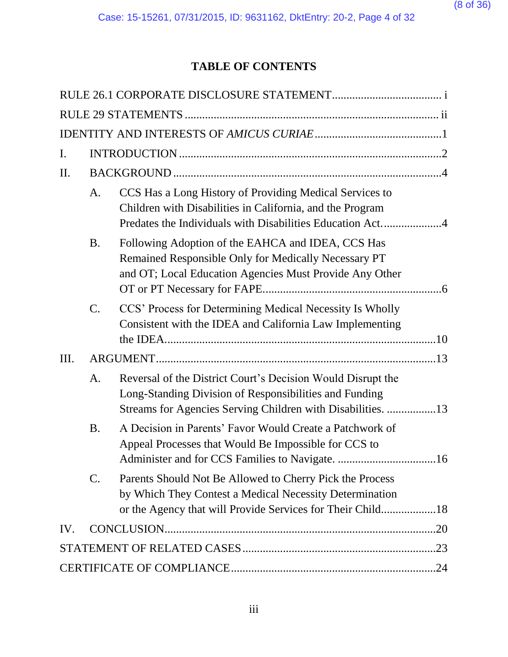# **TABLE OF CONTENTS**

| I.  |           |                                                                                                                                                                                      |  |  |
|-----|-----------|--------------------------------------------------------------------------------------------------------------------------------------------------------------------------------------|--|--|
| Π.  |           |                                                                                                                                                                                      |  |  |
|     | A.        | CCS Has a Long History of Providing Medical Services to<br>Children with Disabilities in California, and the Program                                                                 |  |  |
|     | <b>B.</b> | Following Adoption of the EAHCA and IDEA, CCS Has<br>Remained Responsible Only for Medically Necessary PT<br>and OT; Local Education Agencies Must Provide Any Other                 |  |  |
|     | $C$ .     | CCS' Process for Determining Medical Necessity Is Wholly<br>Consistent with the IDEA and California Law Implementing                                                                 |  |  |
| Ш.  |           |                                                                                                                                                                                      |  |  |
|     | A.        | Reversal of the District Court's Decision Would Disrupt the<br>Long-Standing Division of Responsibilities and Funding<br>Streams for Agencies Serving Children with Disabilities. 13 |  |  |
|     | <b>B.</b> | A Decision in Parents' Favor Would Create a Patchwork of<br>Appeal Processes that Would Be Impossible for CCS to                                                                     |  |  |
|     | C.        | Parents Should Not Be Allowed to Cherry Pick the Process<br>by Which They Contest a Medical Necessity Determination<br>or the Agency that will Provide Services for Their Child18    |  |  |
| IV. |           |                                                                                                                                                                                      |  |  |
|     |           |                                                                                                                                                                                      |  |  |
|     |           |                                                                                                                                                                                      |  |  |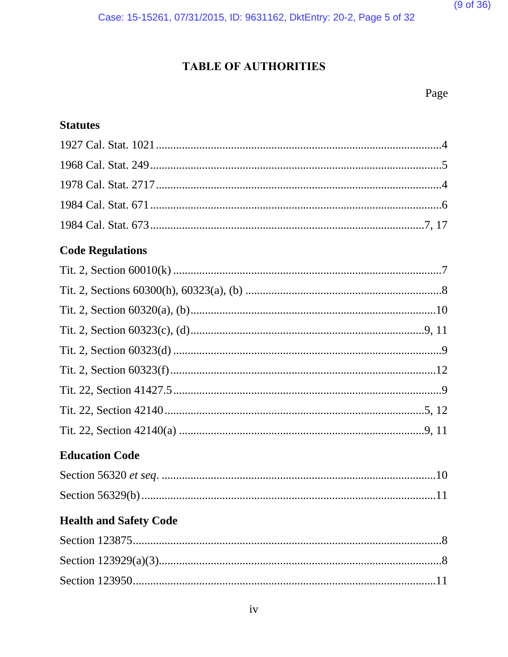Case: 15-15261, 07/31/2015, ID: 9631162, DktEntry: 20-2, Page 5 of 32

# **TABLE OF AUTHORITIES**

# **Statutes**

| <b>Code Regulations</b> |  |
|-------------------------|--|
|                         |  |
|                         |  |
|                         |  |
|                         |  |
|                         |  |
|                         |  |
|                         |  |
|                         |  |
|                         |  |
| <b>Education Code</b>   |  |
|                         |  |
|                         |  |
| __ _ _ _ _ _ _ _ _ _    |  |

# **Health and Safety Code**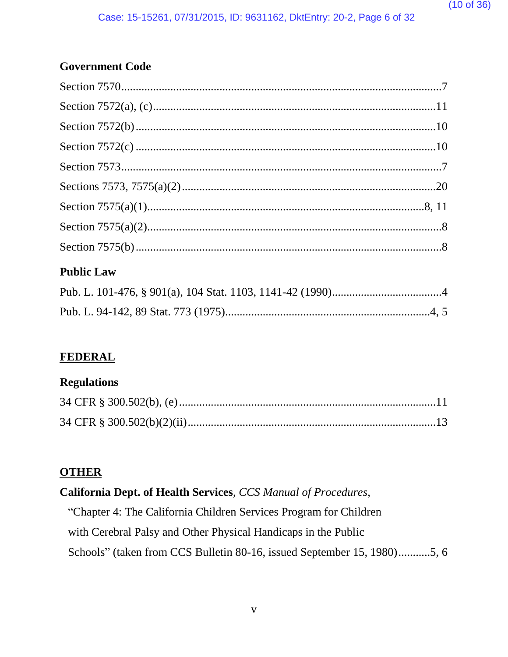# **Government Code**

# **Public Law**

# **FEDERAL**

# **Regulations**

# **OTHER**

# California Dept. of Health Services, CCS Manual of Procedures,

"Chapter 4: The California Children Services Program for Children with Cerebral Palsy and Other Physical Handicaps in the Public Schools" (taken from CCS Bulletin 80-16, issued September 15, 1980)...........5, 6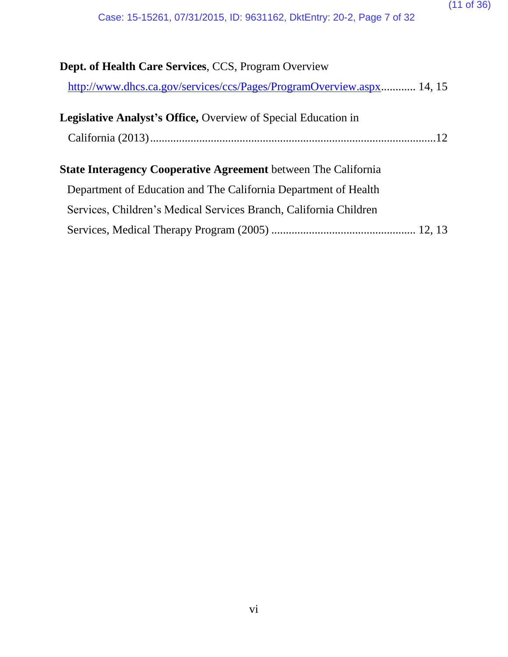| <b>Dept. of Health Care Services, CCS, Program Overview</b>           |  |
|-----------------------------------------------------------------------|--|
| http://www.dhcs.ca.gov/services/ccs/Pages/ProgramOverview.aspx 14, 15 |  |
| Legislative Analyst's Office, Overview of Special Education in        |  |
|                                                                       |  |
| <b>State Interagency Cooperative Agreement</b> between The California |  |
| Department of Education and The California Department of Health       |  |
| Services, Children's Medical Services Branch, California Children     |  |
|                                                                       |  |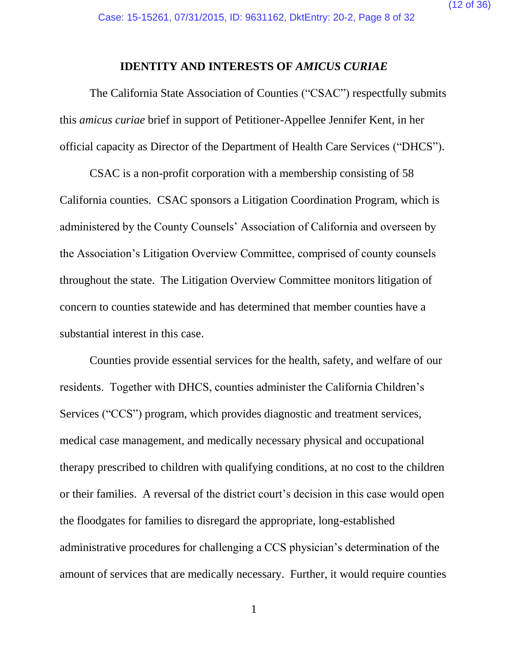#### **IDENTITY AND INTERESTS OF** *AMICUS CURIAE*

<span id="page-11-0"></span>The California State Association of Counties ("CSAC") respectfully submits this *amicus curiae* brief in support of Petitioner-Appellee Jennifer Kent, in her official capacity as Director of the Department of Health Care Services ("DHCS").

CSAC is a non-profit corporation with a membership consisting of 58 California counties. CSAC sponsors a Litigation Coordination Program, which is administered by the County Counsels' Association of California and overseen by the Association's Litigation Overview Committee, comprised of county counsels throughout the state. The Litigation Overview Committee monitors litigation of concern to counties statewide and has determined that member counties have a substantial interest in this case.

Counties provide essential services for the health, safety, and welfare of our residents. Together with DHCS, counties administer the California Children's Services ("CCS") program, which provides diagnostic and treatment services, medical case management, and medically necessary physical and occupational therapy prescribed to children with qualifying conditions, at no cost to the children or their families. A reversal of the district court's decision in this case would open the floodgates for families to disregard the appropriate, long-established administrative procedures for challenging a CCS physician's determination of the amount of services that are medically necessary. Further, it would require counties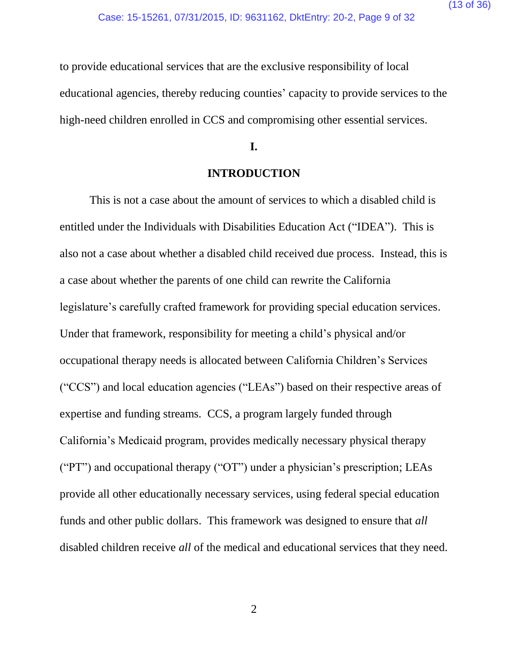to provide educational services that are the exclusive responsibility of local educational agencies, thereby reducing counties' capacity to provide services to the high-need children enrolled in CCS and compromising other essential services.

### **I.**

#### **INTRODUCTION**

<span id="page-12-0"></span>This is not a case about the amount of services to which a disabled child is entitled under the Individuals with Disabilities Education Act ("IDEA"). This is also not a case about whether a disabled child received due process. Instead, this is a case about whether the parents of one child can rewrite the California legislature's carefully crafted framework for providing special education services. Under that framework, responsibility for meeting a child's physical and/or occupational therapy needs is allocated between California Children's Services ("CCS") and local education agencies ("LEAs") based on their respective areas of expertise and funding streams. CCS, a program largely funded through California's Medicaid program, provides medically necessary physical therapy ("PT") and occupational therapy ("OT") under a physician's prescription; LEAs provide all other educationally necessary services, using federal special education funds and other public dollars. This framework was designed to ensure that *all*  disabled children receive *all* of the medical and educational services that they need.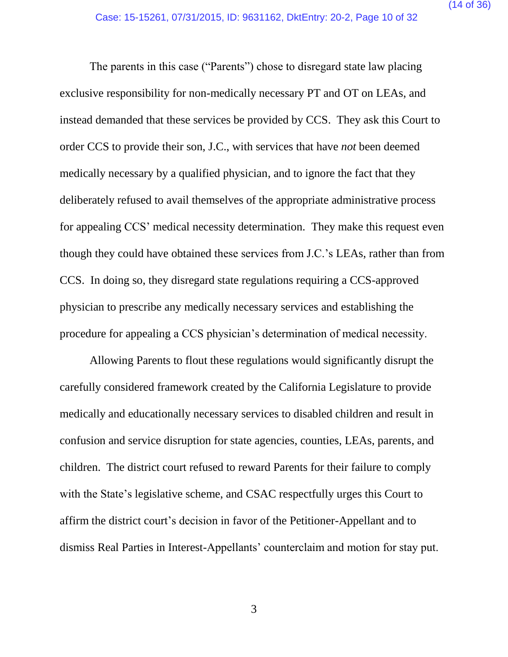The parents in this case ("Parents") chose to disregard state law placing exclusive responsibility for non-medically necessary PT and OT on LEAs, and instead demanded that these services be provided by CCS. They ask this Court to order CCS to provide their son, J.C., with services that have *not* been deemed medically necessary by a qualified physician, and to ignore the fact that they deliberately refused to avail themselves of the appropriate administrative process for appealing CCS' medical necessity determination. They make this request even though they could have obtained these services from J.C.'s LEAs, rather than from CCS. In doing so, they disregard state regulations requiring a CCS-approved physician to prescribe any medically necessary services and establishing the procedure for appealing a CCS physician's determination of medical necessity.

Allowing Parents to flout these regulations would significantly disrupt the carefully considered framework created by the California Legislature to provide medically and educationally necessary services to disabled children and result in confusion and service disruption for state agencies, counties, LEAs, parents, and children. The district court refused to reward Parents for their failure to comply with the State's legislative scheme, and CSAC respectfully urges this Court to affirm the district court's decision in favor of the Petitioner-Appellant and to dismiss Real Parties in Interest-Appellants' counterclaim and motion for stay put.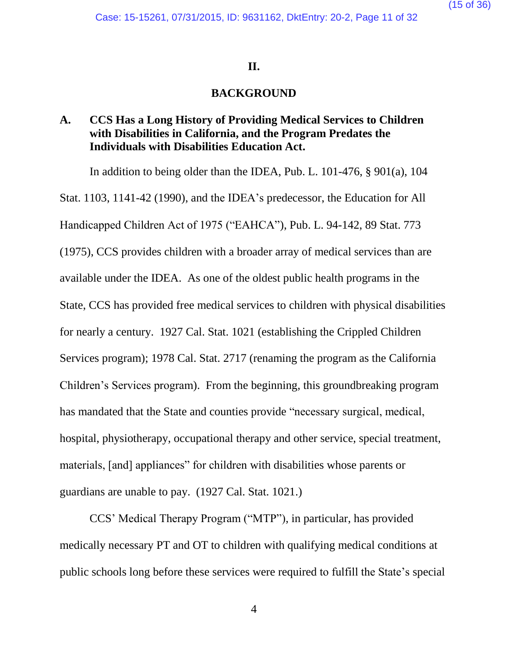#### **II.**

#### **BACKGROUND**

## <span id="page-14-1"></span><span id="page-14-0"></span>**A. CCS Has a Long History of Providing Medical Services to Children with Disabilities in California, and the Program Predates the Individuals with Disabilities Education Act.**

In addition to being older than the IDEA, Pub. L. 101-476, § 901(a), 104 Stat. 1103, 1141-42 (1990), and the IDEA's predecessor, the Education for All Handicapped Children Act of 1975 ("EAHCA"), Pub. L. 94-142, 89 Stat. 773 (1975), CCS provides children with a broader array of medical services than are available under the IDEA. As one of the oldest public health programs in the State, CCS has provided free medical services to children with physical disabilities for nearly a century. 1927 Cal. Stat. 1021 (establishing the Crippled Children Services program); 1978 Cal. Stat. 2717 (renaming the program as the California Children's Services program). From the beginning, this groundbreaking program has mandated that the State and counties provide "necessary surgical, medical, hospital, physiotherapy, occupational therapy and other service, special treatment, materials, [and] appliances" for children with disabilities whose parents or guardians are unable to pay. (1927 Cal. Stat. 1021.)

CCS' Medical Therapy Program ("MTP"), in particular, has provided medically necessary PT and OT to children with qualifying medical conditions at public schools long before these services were required to fulfill the State's special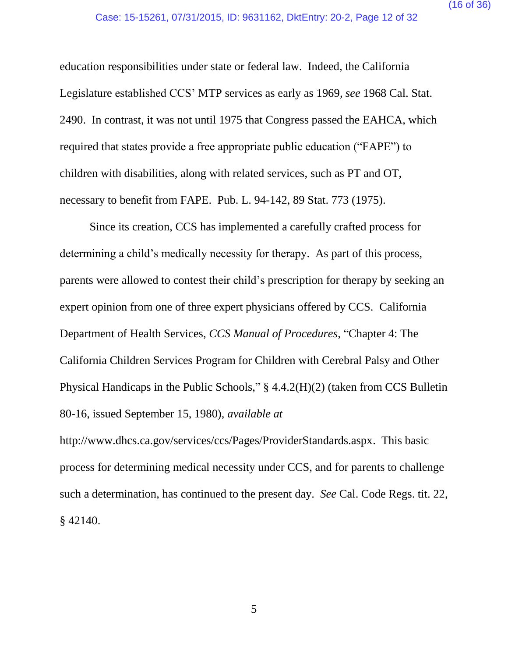education responsibilities under state or federal law. Indeed, the California Legislature established CCS' MTP services as early as 1969, *see* 1968 Cal. Stat. 2490. In contrast, it was not until 1975 that Congress passed the EAHCA, which required that states provide a free appropriate public education ("FAPE") to children with disabilities, along with related services, such as PT and OT, necessary to benefit from FAPE. Pub. L. 94-142, 89 Stat. 773 (1975).

Since its creation, CCS has implemented a carefully crafted process for determining a child's medically necessity for therapy. As part of this process, parents were allowed to contest their child's prescription for therapy by seeking an expert opinion from one of three expert physicians offered by CCS. California Department of Health Services, *CCS Manual of Procedures*, "Chapter 4: The California Children Services Program for Children with Cerebral Palsy and Other Physical Handicaps in the Public Schools," § 4.4.2(H)(2) (taken from CCS Bulletin 80-16, issued September 15, 1980), *available at*

http://www.dhcs.ca.gov/services/ccs/Pages/ProviderStandards.aspx. This basic process for determining medical necessity under CCS, and for parents to challenge such a determination, has continued to the present day. *See* Cal. Code Regs. tit. 22, § 42140.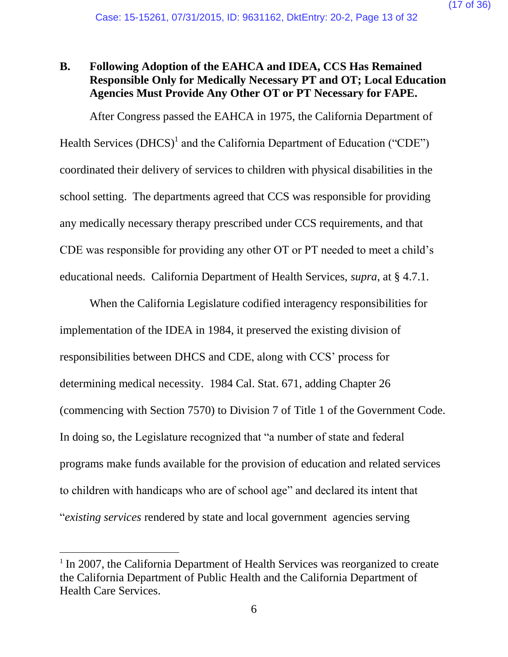# <span id="page-16-0"></span>**B. Following Adoption of the EAHCA and IDEA, CCS Has Remained Responsible Only for Medically Necessary PT and OT; Local Education Agencies Must Provide Any Other OT or PT Necessary for FAPE.**

After Congress passed the EAHCA in 1975, the California Department of Health Services (DHCS)<sup>1</sup> and the California Department of Education ("CDE") coordinated their delivery of services to children with physical disabilities in the school setting. The departments agreed that CCS was responsible for providing any medically necessary therapy prescribed under CCS requirements, and that CDE was responsible for providing any other OT or PT needed to meet a child's educational needs. California Department of Health Services, *supra*, at § 4.7.1.

When the California Legislature codified interagency responsibilities for implementation of the IDEA in 1984, it preserved the existing division of responsibilities between DHCS and CDE, along with CCS' process for determining medical necessity. 1984 Cal. Stat. 671, adding Chapter 26 (commencing with Section 7570) to Division 7 of Title 1 of the Government Code. In doing so, the Legislature recognized that "a number of state and federal programs make funds available for the provision of education and related services to children with handicaps who are of school age" and declared its intent that "*existing services* rendered by state and local government agencies serving

 $\overline{a}$ 

<sup>&</sup>lt;sup>1</sup> In 2007, the California Department of Health Services was reorganized to create the California Department of Public Health and the California Department of Health Care Services.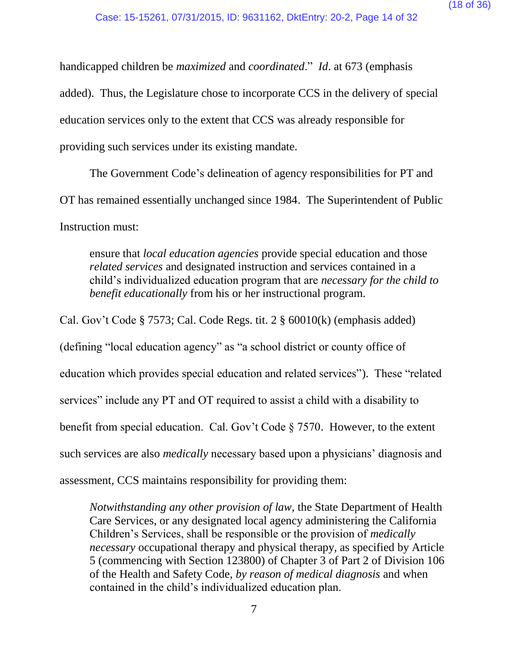handicapped children be *maximized* and *coordinated*." *Id*. at 673 (emphasis added). Thus, the Legislature chose to incorporate CCS in the delivery of special education services only to the extent that CCS was already responsible for providing such services under its existing mandate.

The Government Code's delineation of agency responsibilities for PT and OT has remained essentially unchanged since 1984. The Superintendent of Public Instruction must:

ensure that *local education agencies* provide special education and those *related services* and designated instruction and services contained in a child's individualized education program that are *necessary for the child to benefit educationally* from his or her instructional program.

Cal. Gov't Code § 7573; Cal. Code Regs. tit. 2 § 60010(k) (emphasis added) (defining "local education agency" as "a school district or county office of education which provides special education and related services"). These "related services" include any PT and OT required to assist a child with a disability to benefit from special education. Cal. Gov't Code § 7570. However, to the extent such services are also *medically* necessary based upon a physicians' diagnosis and assessment, CCS maintains responsibility for providing them:

*Notwithstanding any other provision of law*, the State Department of Health Care Services, or any designated local agency administering the California Children's Services, shall be responsible or the provision of *medically necessary* occupational therapy and physical therapy, as specified by Article 5 (commencing with Section 123800) of Chapter 3 of Part 2 of Division 106 of the Health and Safety Code, *by reason of medical diagnosis* and when contained in the child's individualized education plan.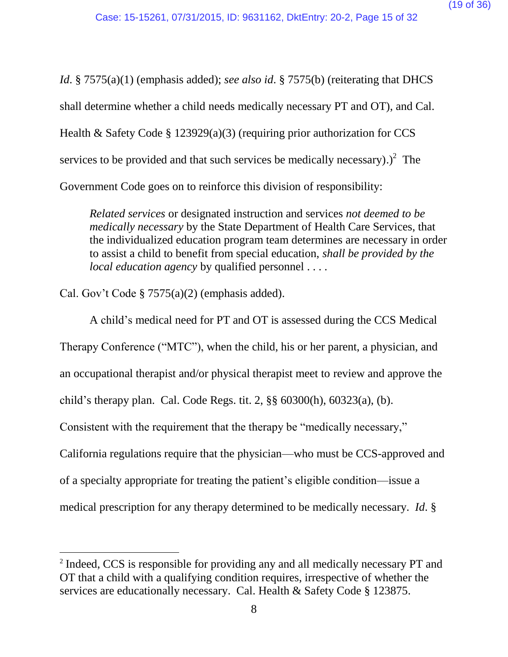*Id.* § 7575(a)(1) (emphasis added); *see also id.* § 7575(b) (reiterating that DHCS shall determine whether a child needs medically necessary PT and OT), and Cal. Health & Safety Code § 123929(a)(3) (requiring prior authorization for CCS services to be provided and that such services be medically necessary).)<sup>2</sup> The Government Code goes on to reinforce this division of responsibility:

*Related services* or designated instruction and services *not deemed to be medically necessary* by the State Department of Health Care Services, that the individualized education program team determines are necessary in order to assist a child to benefit from special education, *shall be provided by the local education agency* by qualified personnel . . . .

Cal. Gov't Code § 7575(a)(2) (emphasis added).

 $\overline{a}$ 

A child's medical need for PT and OT is assessed during the CCS Medical Therapy Conference ("MTC"), when the child, his or her parent, a physician, and an occupational therapist and/or physical therapist meet to review and approve the child's therapy plan. Cal. Code Regs. tit. 2, §§ 60300(h), 60323(a), (b). Consistent with the requirement that the therapy be "medically necessary," California regulations require that the physician—who must be CCS-approved and of a specialty appropriate for treating the patient's eligible condition—issue a medical prescription for any therapy determined to be medically necessary. *Id*. §

<sup>&</sup>lt;sup>2</sup> Indeed, CCS is responsible for providing any and all medically necessary PT and OT that a child with a qualifying condition requires, irrespective of whether the services are educationally necessary. Cal. Health & Safety Code § 123875.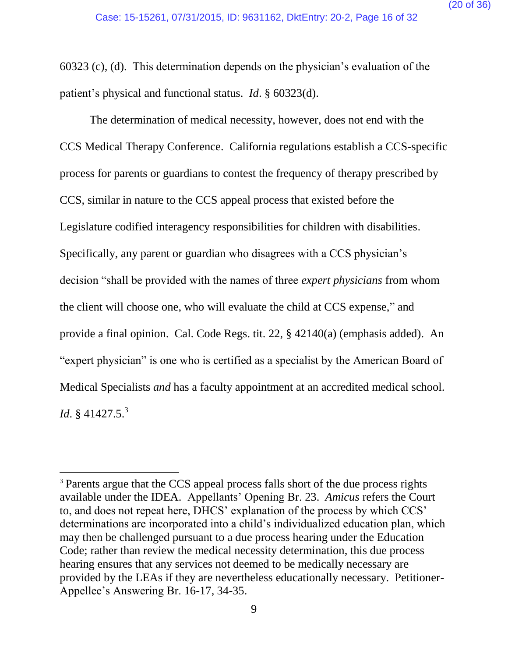60323 (c), (d). This determination depends on the physician's evaluation of the patient's physical and functional status. *Id*. § 60323(d).

The determination of medical necessity, however, does not end with the CCS Medical Therapy Conference. California regulations establish a CCS-specific process for parents or guardians to contest the frequency of therapy prescribed by CCS, similar in nature to the CCS appeal process that existed before the Legislature codified interagency responsibilities for children with disabilities. Specifically, any parent or guardian who disagrees with a CCS physician's decision "shall be provided with the names of three *expert physicians* from whom the client will choose one, who will evaluate the child at CCS expense," and provide a final opinion. Cal. Code Regs. tit. 22, § 42140(a) (emphasis added). An "expert physician" is one who is certified as a specialist by the American Board of Medical Specialists *and* has a faculty appointment at an accredited medical school. *Id*. § 41427.5. 3

 $\overline{a}$ 

<sup>&</sup>lt;sup>3</sup> Parents argue that the CCS appeal process falls short of the due process rights available under the IDEA. Appellants' Opening Br. 23. *Amicus* refers the Court to, and does not repeat here, DHCS' explanation of the process by which CCS' determinations are incorporated into a child's individualized education plan, which may then be challenged pursuant to a due process hearing under the Education Code; rather than review the medical necessity determination, this due process hearing ensures that any services not deemed to be medically necessary are provided by the LEAs if they are nevertheless educationally necessary. Petitioner-Appellee's Answering Br. 16-17, 34-35.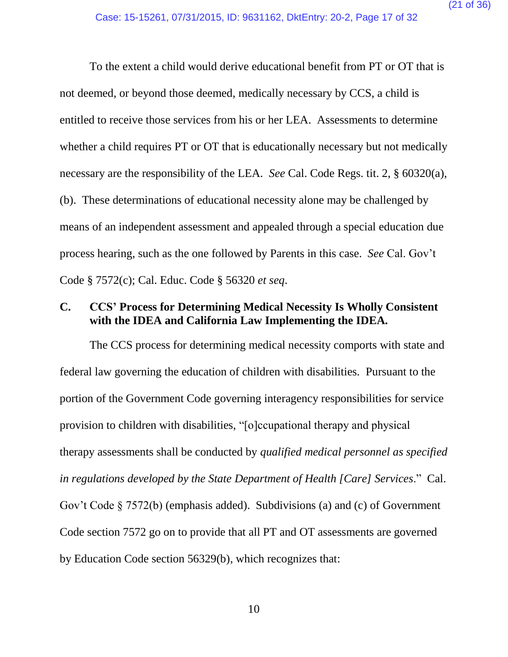To the extent a child would derive educational benefit from PT or OT that is not deemed, or beyond those deemed, medically necessary by CCS, a child is entitled to receive those services from his or her LEA. Assessments to determine whether a child requires PT or OT that is educationally necessary but not medically necessary are the responsibility of the LEA. *See* Cal. Code Regs. tit. 2, § 60320(a), (b). These determinations of educational necessity alone may be challenged by means of an independent assessment and appealed through a special education due process hearing, such as the one followed by Parents in this case. *See* Cal. Gov't Code § 7572(c); Cal. Educ. Code § 56320 *et seq*.

### <span id="page-20-0"></span>**C. CCS' Process for Determining Medical Necessity Is Wholly Consistent with the IDEA and California Law Implementing the IDEA.**

The CCS process for determining medical necessity comports with state and federal law governing the education of children with disabilities. Pursuant to the portion of the Government Code governing interagency responsibilities for service provision to children with disabilities, "[o]ccupational therapy and physical therapy assessments shall be conducted by *qualified medical personnel as specified in regulations developed by the State Department of Health [Care] Services*." Cal. Gov't Code § 7572(b) (emphasis added). Subdivisions (a) and (c) of Government Code section 7572 go on to provide that all PT and OT assessments are governed by Education Code section 56329(b), which recognizes that: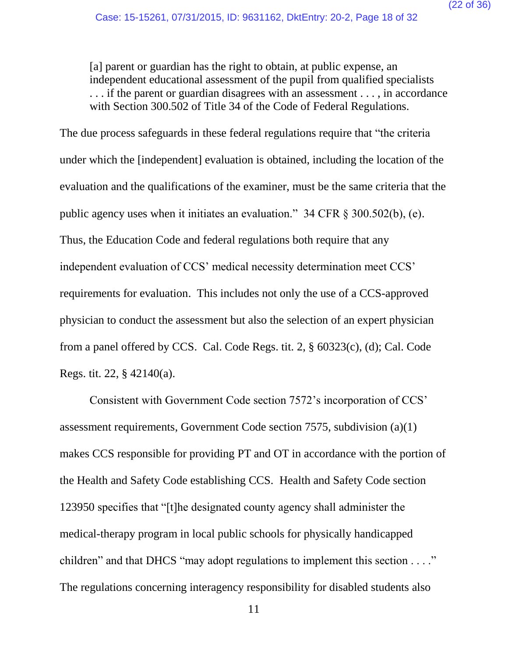[a] parent or guardian has the right to obtain, at public expense, an independent educational assessment of the pupil from qualified specialists . . . if the parent or guardian disagrees with an assessment . . . , in accordance with Section 300.502 of Title 34 of the Code of Federal Regulations.

The due process safeguards in these federal regulations require that "the criteria under which the [independent] evaluation is obtained, including the location of the evaluation and the qualifications of the examiner, must be the same criteria that the public agency uses when it initiates an evaluation." 34 CFR § 300.502(b), (e). Thus, the Education Code and federal regulations both require that any independent evaluation of CCS' medical necessity determination meet CCS' requirements for evaluation. This includes not only the use of a CCS-approved physician to conduct the assessment but also the selection of an expert physician from a panel offered by CCS. Cal. Code Regs. tit. 2, § 60323(c), (d); Cal. Code Regs. tit. 22, § 42140(a).

Consistent with Government Code section 7572's incorporation of CCS' assessment requirements, Government Code section 7575, subdivision (a)(1) makes CCS responsible for providing PT and OT in accordance with the portion of the Health and Safety Code establishing CCS. Health and Safety Code section 123950 specifies that "[t]he designated county agency shall administer the medical-therapy program in local public schools for physically handicapped children" and that DHCS "may adopt regulations to implement this section . . . ." The regulations concerning interagency responsibility for disabled students also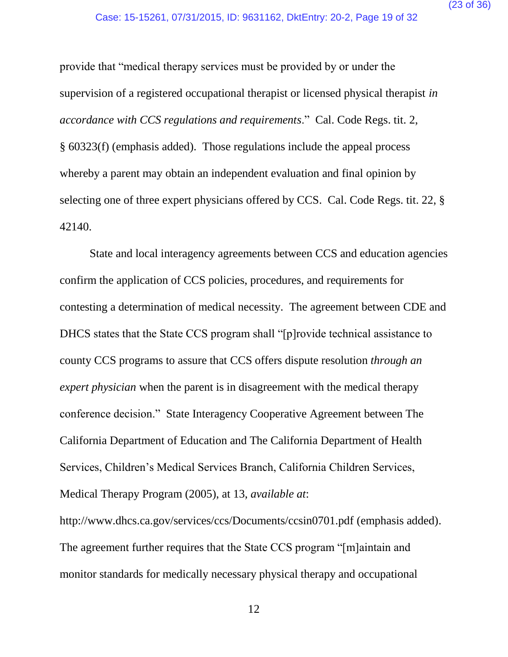provide that "medical therapy services must be provided by or under the supervision of a registered occupational therapist or licensed physical therapist *in accordance with CCS regulations and requirements*." Cal. Code Regs. tit. 2, § 60323(f) (emphasis added). Those regulations include the appeal process whereby a parent may obtain an independent evaluation and final opinion by selecting one of three expert physicians offered by CCS. Cal. Code Regs. tit. 22, § 42140.

State and local interagency agreements between CCS and education agencies confirm the application of CCS policies, procedures, and requirements for contesting a determination of medical necessity. The agreement between CDE and DHCS states that the State CCS program shall "[p]rovide technical assistance to county CCS programs to assure that CCS offers dispute resolution *through an expert physician* when the parent is in disagreement with the medical therapy conference decision." State Interagency Cooperative Agreement between The California Department of Education and The California Department of Health Services, Children's Medical Services Branch, California Children Services, Medical Therapy Program (2005), at 13, *available at*:

http://www.dhcs.ca.gov/services/ccs/Documents/ccsin0701.pdf (emphasis added). The agreement further requires that the State CCS program "[m]aintain and monitor standards for medically necessary physical therapy and occupational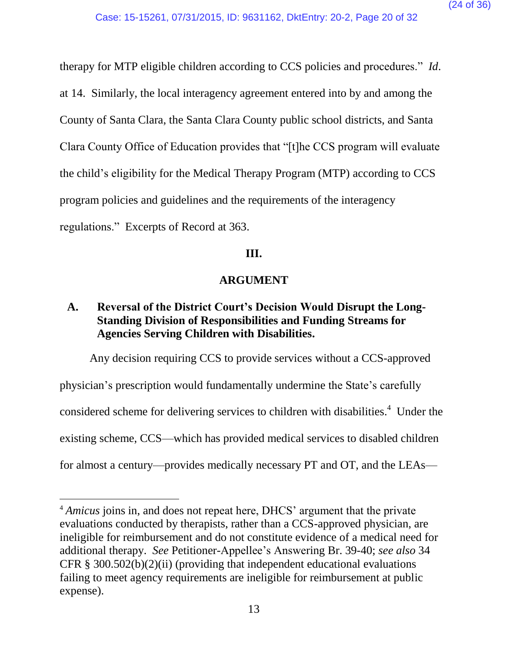therapy for MTP eligible children according to CCS policies and procedures." *Id*. at 14. Similarly, the local interagency agreement entered into by and among the County of Santa Clara, the Santa Clara County public school districts, and Santa Clara County Office of Education provides that "[t]he CCS program will evaluate the child's eligibility for the Medical Therapy Program (MTP) according to CCS program policies and guidelines and the requirements of the interagency regulations." Excerpts of Record at 363.

### **III.**

# **ARGUMENT**

# <span id="page-23-1"></span><span id="page-23-0"></span>**A. Reversal of the District Court's Decision Would Disrupt the Long-Standing Division of Responsibilities and Funding Streams for Agencies Serving Children with Disabilities.**

Any decision requiring CCS to provide services without a CCS-approved physician's prescription would fundamentally undermine the State's carefully considered scheme for delivering services to children with disabilities.<sup>4</sup> Under the existing scheme, CCS—which has provided medical services to disabled children for almost a century—provides medically necessary PT and OT, and the LEAs—

 $\overline{a}$ 

<sup>4</sup> *Amicus* joins in, and does not repeat here, DHCS' argument that the private evaluations conducted by therapists, rather than a CCS-approved physician, are ineligible for reimbursement and do not constitute evidence of a medical need for additional therapy. *See* Petitioner-Appellee's Answering Br. 39-40; *see also* 34 CFR  $\S$  300.502(b)(2)(ii) (providing that independent educational evaluations failing to meet agency requirements are ineligible for reimbursement at public expense).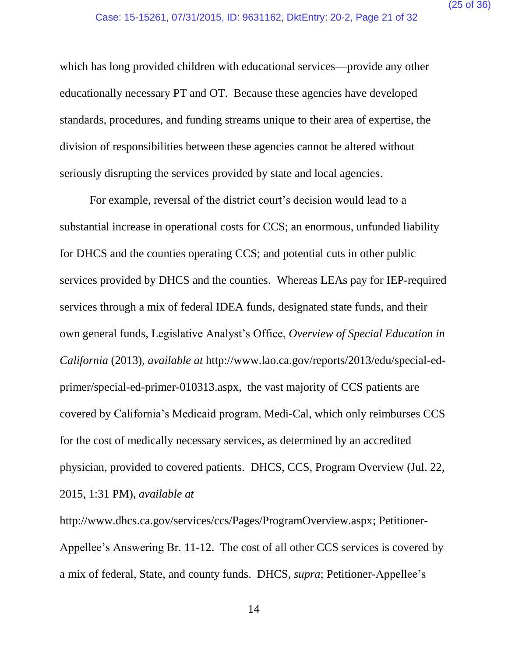which has long provided children with educational services—provide any other educationally necessary PT and OT. Because these agencies have developed standards, procedures, and funding streams unique to their area of expertise, the division of responsibilities between these agencies cannot be altered without seriously disrupting the services provided by state and local agencies.

For example, reversal of the district court's decision would lead to a substantial increase in operational costs for CCS; an enormous, unfunded liability for DHCS and the counties operating CCS; and potential cuts in other public services provided by DHCS and the counties. Whereas LEAs pay for IEP-required services through a mix of federal IDEA funds, designated state funds, and their own general funds, Legislative Analyst's Office, *Overview of Special Education in California* (2013), *available at* http://www.lao.ca.gov/reports/2013/edu/special-edprimer/special-ed-primer-010313.aspx, the vast majority of CCS patients are covered by California's Medicaid program, Medi-Cal, which only reimburses CCS for the cost of medically necessary services, as determined by an accredited physician, provided to covered patients. DHCS, CCS, Program Overview (Jul. 22, 2015, 1:31 PM), *available at*

http://www.dhcs.ca.gov/services/ccs/Pages/ProgramOverview.aspx; Petitioner-Appellee's Answering Br. 11-12. The cost of all other CCS services is covered by a mix of federal, State, and county funds. DHCS, *supra*; Petitioner-Appellee's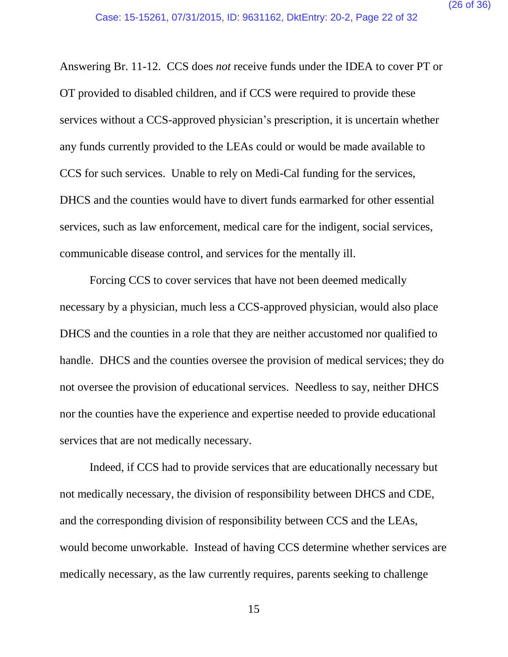Answering Br. 11-12. CCS does *not* receive funds under the IDEA to cover PT or OT provided to disabled children, and if CCS were required to provide these services without a CCS-approved physician's prescription, it is uncertain whether any funds currently provided to the LEAs could or would be made available to CCS for such services. Unable to rely on Medi-Cal funding for the services, DHCS and the counties would have to divert funds earmarked for other essential services, such as law enforcement, medical care for the indigent, social services, communicable disease control, and services for the mentally ill.

Forcing CCS to cover services that have not been deemed medically necessary by a physician, much less a CCS-approved physician, would also place DHCS and the counties in a role that they are neither accustomed nor qualified to handle. DHCS and the counties oversee the provision of medical services; they do not oversee the provision of educational services. Needless to say, neither DHCS nor the counties have the experience and expertise needed to provide educational services that are not medically necessary.

Indeed, if CCS had to provide services that are educationally necessary but not medically necessary, the division of responsibility between DHCS and CDE, and the corresponding division of responsibility between CCS and the LEAs, would become unworkable. Instead of having CCS determine whether services are medically necessary, as the law currently requires, parents seeking to challenge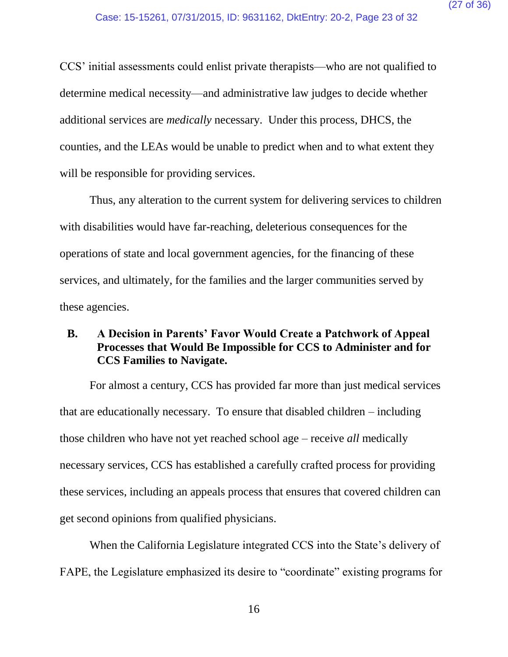CCS' initial assessments could enlist private therapists—who are not qualified to determine medical necessity—and administrative law judges to decide whether additional services are *medically* necessary. Under this process, DHCS, the counties, and the LEAs would be unable to predict when and to what extent they will be responsible for providing services.

Thus, any alteration to the current system for delivering services to children with disabilities would have far-reaching, deleterious consequences for the operations of state and local government agencies, for the financing of these services, and ultimately, for the families and the larger communities served by these agencies.

## <span id="page-26-0"></span>**B. A Decision in Parents' Favor Would Create a Patchwork of Appeal Processes that Would Be Impossible for CCS to Administer and for CCS Families to Navigate.**

For almost a century, CCS has provided far more than just medical services that are educationally necessary. To ensure that disabled children – including those children who have not yet reached school age – receive *all* medically necessary services, CCS has established a carefully crafted process for providing these services, including an appeals process that ensures that covered children can get second opinions from qualified physicians.

When the California Legislature integrated CCS into the State's delivery of FAPE, the Legislature emphasized its desire to "coordinate" existing programs for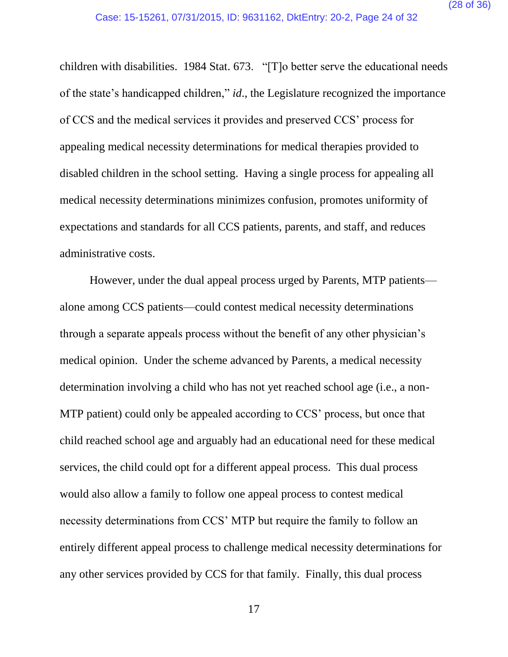children with disabilities. 1984 Stat. 673. "[T]o better serve the educational needs of the state's handicapped children," *id*., the Legislature recognized the importance of CCS and the medical services it provides and preserved CCS' process for appealing medical necessity determinations for medical therapies provided to disabled children in the school setting. Having a single process for appealing all medical necessity determinations minimizes confusion, promotes uniformity of expectations and standards for all CCS patients, parents, and staff, and reduces administrative costs.

However, under the dual appeal process urged by Parents, MTP patients alone among CCS patients—could contest medical necessity determinations through a separate appeals process without the benefit of any other physician's medical opinion. Under the scheme advanced by Parents, a medical necessity determination involving a child who has not yet reached school age (i.e., a non-MTP patient) could only be appealed according to CCS' process, but once that child reached school age and arguably had an educational need for these medical services, the child could opt for a different appeal process. This dual process would also allow a family to follow one appeal process to contest medical necessity determinations from CCS' MTP but require the family to follow an entirely different appeal process to challenge medical necessity determinations for any other services provided by CCS for that family. Finally, this dual process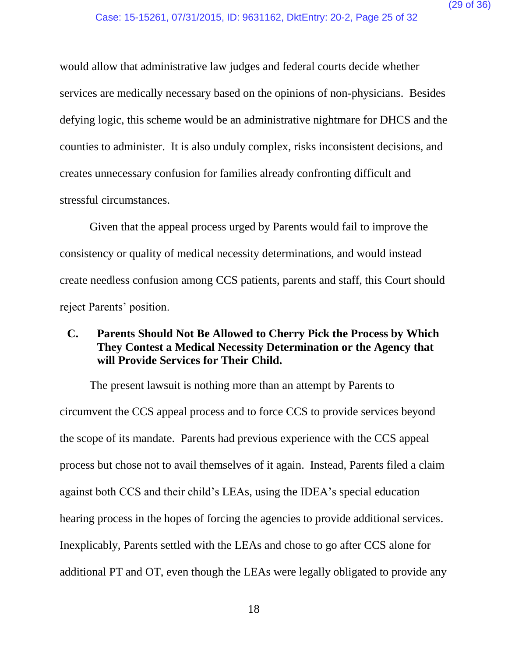would allow that administrative law judges and federal courts decide whether services are medically necessary based on the opinions of non-physicians. Besides defying logic, this scheme would be an administrative nightmare for DHCS and the counties to administer. It is also unduly complex, risks inconsistent decisions, and creates unnecessary confusion for families already confronting difficult and stressful circumstances.

Given that the appeal process urged by Parents would fail to improve the consistency or quality of medical necessity determinations, and would instead create needless confusion among CCS patients, parents and staff, this Court should reject Parents' position.

# <span id="page-28-0"></span>**C. Parents Should Not Be Allowed to Cherry Pick the Process by Which They Contest a Medical Necessity Determination or the Agency that will Provide Services for Their Child.**

The present lawsuit is nothing more than an attempt by Parents to circumvent the CCS appeal process and to force CCS to provide services beyond the scope of its mandate. Parents had previous experience with the CCS appeal process but chose not to avail themselves of it again. Instead, Parents filed a claim against both CCS and their child's LEAs, using the IDEA's special education hearing process in the hopes of forcing the agencies to provide additional services. Inexplicably, Parents settled with the LEAs and chose to go after CCS alone for additional PT and OT, even though the LEAs were legally obligated to provide any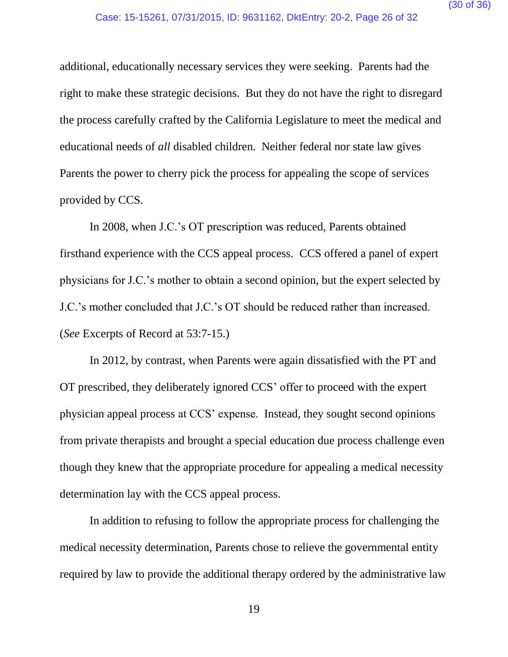additional, educationally necessary services they were seeking. Parents had the right to make these strategic decisions. But they do not have the right to disregard the process carefully crafted by the California Legislature to meet the medical and educational needs of *all* disabled children. Neither federal nor state law gives Parents the power to cherry pick the process for appealing the scope of services provided by CCS.

In 2008, when J.C.'s OT prescription was reduced, Parents obtained firsthand experience with the CCS appeal process. CCS offered a panel of expert physicians for J.C.'s mother to obtain a second opinion, but the expert selected by J.C.'s mother concluded that J.C.'s OT should be reduced rather than increased. (*See* Excerpts of Record at 53:7-15.)

In 2012, by contrast, when Parents were again dissatisfied with the PT and OT prescribed, they deliberately ignored CCS' offer to proceed with the expert physician appeal process at CCS' expense. Instead, they sought second opinions from private therapists and brought a special education due process challenge even though they knew that the appropriate procedure for appealing a medical necessity determination lay with the CCS appeal process.

In addition to refusing to follow the appropriate process for challenging the medical necessity determination, Parents chose to relieve the governmental entity required by law to provide the additional therapy ordered by the administrative law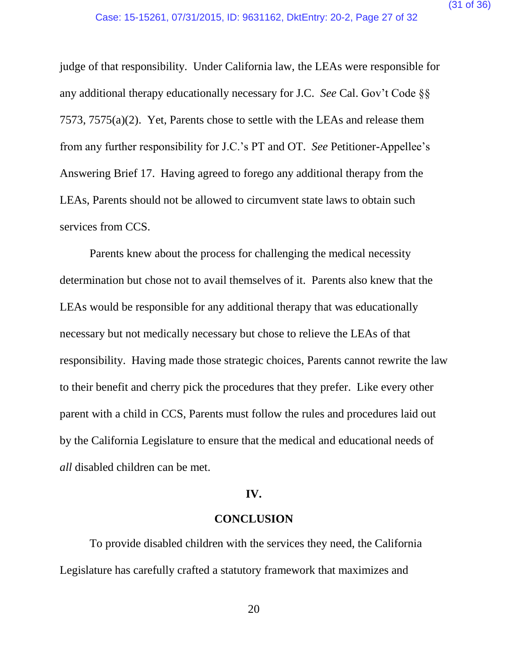judge of that responsibility. Under California law, the LEAs were responsible for any additional therapy educationally necessary for J.C. *See* Cal. Gov't Code §§ 7573, 7575(a)(2). Yet, Parents chose to settle with the LEAs and release them from any further responsibility for J.C.'s PT and OT. *See* Petitioner-Appellee's Answering Brief 17. Having agreed to forego any additional therapy from the LEAs, Parents should not be allowed to circumvent state laws to obtain such services from CCS.

Parents knew about the process for challenging the medical necessity determination but chose not to avail themselves of it. Parents also knew that the LEAs would be responsible for any additional therapy that was educationally necessary but not medically necessary but chose to relieve the LEAs of that responsibility. Having made those strategic choices, Parents cannot rewrite the law to their benefit and cherry pick the procedures that they prefer. Like every other parent with a child in CCS, Parents must follow the rules and procedures laid out by the California Legislature to ensure that the medical and educational needs of *all* disabled children can be met.

#### **IV.**

### **CONCLUSION**

<span id="page-30-0"></span>To provide disabled children with the services they need, the California Legislature has carefully crafted a statutory framework that maximizes and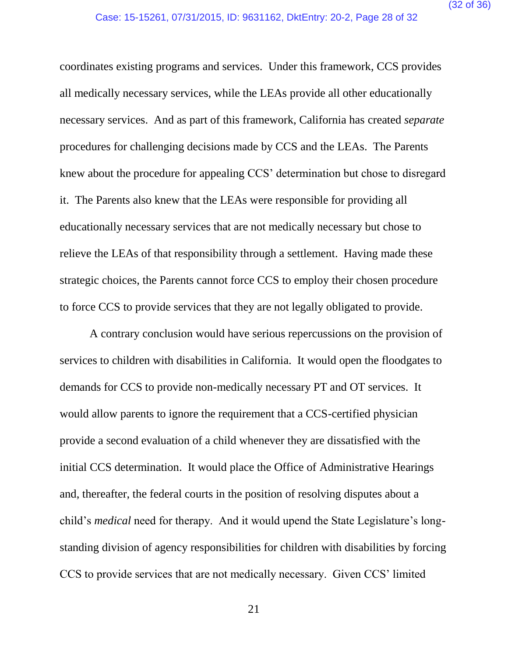coordinates existing programs and services. Under this framework, CCS provides all medically necessary services, while the LEAs provide all other educationally necessary services. And as part of this framework, California has created *separate* procedures for challenging decisions made by CCS and the LEAs. The Parents knew about the procedure for appealing CCS' determination but chose to disregard it. The Parents also knew that the LEAs were responsible for providing all educationally necessary services that are not medically necessary but chose to relieve the LEAs of that responsibility through a settlement. Having made these strategic choices, the Parents cannot force CCS to employ their chosen procedure to force CCS to provide services that they are not legally obligated to provide.

A contrary conclusion would have serious repercussions on the provision of services to children with disabilities in California. It would open the floodgates to demands for CCS to provide non-medically necessary PT and OT services. It would allow parents to ignore the requirement that a CCS-certified physician provide a second evaluation of a child whenever they are dissatisfied with the initial CCS determination. It would place the Office of Administrative Hearings and, thereafter, the federal courts in the position of resolving disputes about a child's *medical* need for therapy. And it would upend the State Legislature's longstanding division of agency responsibilities for children with disabilities by forcing CCS to provide services that are not medically necessary. Given CCS' limited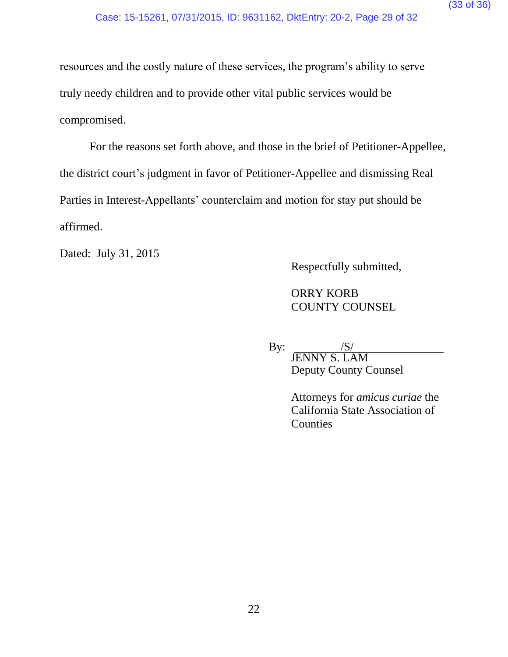resources and the costly nature of these services, the program's ability to serve truly needy children and to provide other vital public services would be compromised.

For the reasons set forth above, and those in the brief of Petitioner-Appellee, the district court's judgment in favor of Petitioner-Appellee and dismissing Real Parties in Interest-Appellants' counterclaim and motion for stay put should be affirmed.

Dated: July 31, 2015

Respectfully submitted,

ORRY KORB COUNTY COUNSEL

By:  $\frac{|S|}{|S|}$ JENNY S. LAM Deputy County Counsel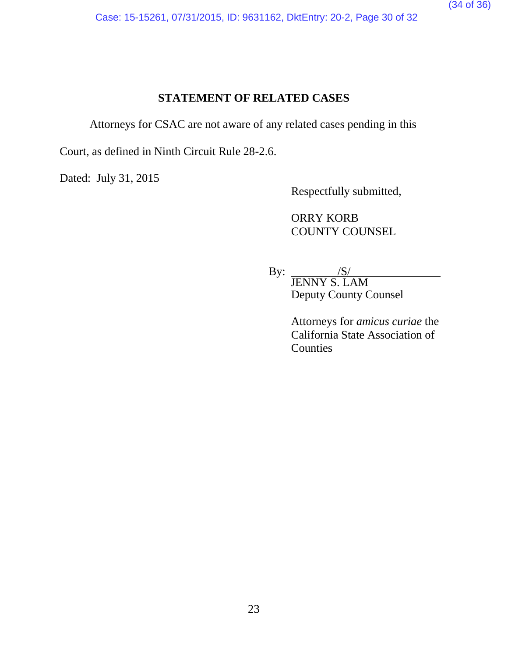Case: 15-15261, 07/31/2015, ID: 9631162, DktEntry: 20-2, Page 30 of 32

# **STATEMENT OF RELATED CASES**

<span id="page-33-0"></span>Attorneys for CSAC are not aware of any related cases pending in this

Court, as defined in Ninth Circuit Rule 28-2.6.

Dated: July 31, 2015

Respectfully submitted,

ORRY KORB COUNTY COUNSEL

By:  $\frac{|S|}{|S|}$ JENNY S. LAM Deputy County Counsel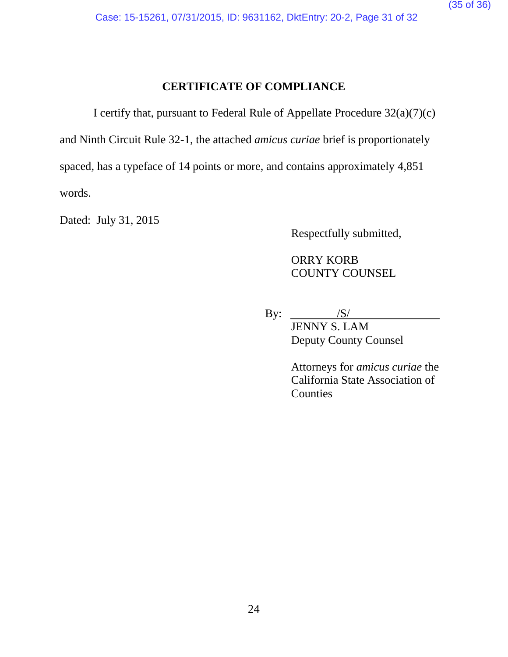Case: 15-15261, 07/31/2015, ID: 9631162, DktEntry: 20-2, Page 31 of 32

# **CERTIFICATE OF COMPLIANCE**

<span id="page-34-0"></span>I certify that, pursuant to Federal Rule of Appellate Procedure 32(a)(7)(c)

and Ninth Circuit Rule 32-1, the attached *amicus curiae* brief is proportionately

spaced, has a typeface of 14 points or more, and contains approximately 4,851

words.

Dated: July 31, 2015

Respectfully submitted,

ORRY KORB COUNTY COUNSEL

By:  $\frac{|S|}{|S|}$ JENNY S. LAM Deputy County Counsel